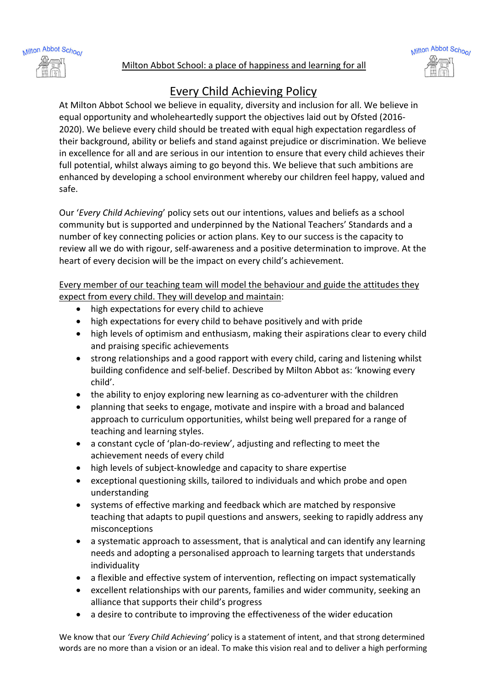



## Milton Abbot School

## Every Child Achieving Policy

At Milton Abbot School we believe in equality, diversity and inclusion for all. We believe in equal opportunity and wholeheartedly support the objectives laid out by Ofsted (2016- 2020). We believe every child should be treated with equal high expectation regardless of their background, ability or beliefs and stand against prejudice or discrimination. We believe in excellence for all and are serious in our intention to ensure that every child achieves their full potential, whilst always aiming to go beyond this. We believe that such ambitions are enhanced by developing a school environment whereby our children feel happy, valued and safe.

Our '*Every Child Achieving*' policy sets out our intentions, values and beliefs as a school community but is supported and underpinned by the National Teachers' Standards and a number of key connecting policies or action plans. Key to our success is the capacity to review all we do with rigour, self-awareness and a positive determination to improve. At the heart of every decision will be the impact on every child's achievement.

Every member of our teaching team will model the behaviour and guide the attitudes they expect from every child. They will develop and maintain:

- high expectations for every child to achieve
- high expectations for every child to behave positively and with pride
- high levels of optimism and enthusiasm, making their aspirations clear to every child and praising specific achievements
- strong relationships and a good rapport with every child, caring and listening whilst building confidence and self-belief. Described by Milton Abbot as: 'knowing every child'.
- the ability to enjoy exploring new learning as co-adventurer with the children
- planning that seeks to engage, motivate and inspire with a broad and balanced approach to curriculum opportunities, whilst being well prepared for a range of teaching and learning styles.
- a constant cycle of 'plan-do-review', adjusting and reflecting to meet the achievement needs of every child
- high levels of subject-knowledge and capacity to share expertise
- exceptional questioning skills, tailored to individuals and which probe and open understanding
- systems of effective marking and feedback which are matched by responsive teaching that adapts to pupil questions and answers, seeking to rapidly address any misconceptions
- a systematic approach to assessment, that is analytical and can identify any learning needs and adopting a personalised approach to learning targets that understands individuality
- a flexible and effective system of intervention, reflecting on impact systematically
- excellent relationships with our parents, families and wider community, seeking an alliance that supports their child's progress
- a desire to contribute to improving the effectiveness of the wider education

We know that our *'Every Child Achieving'* policy is a statement of intent, and that strong determined words are no more than a vision or an ideal. To make this vision real and to deliver a high performing